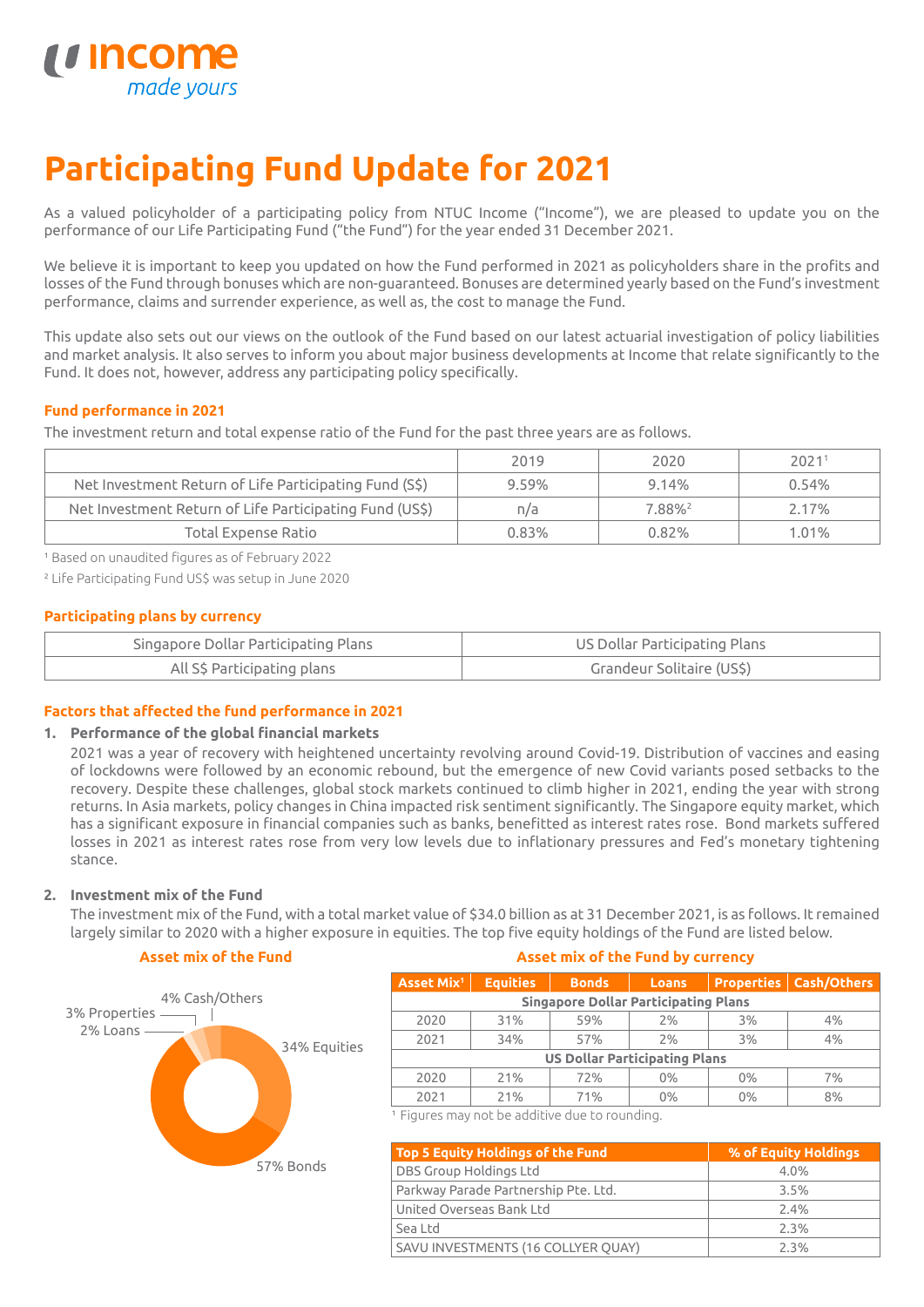

# **Participating Fund Update for 2021**

As a valued policyholder of a participating policy from NTUC Income ("Income"), we are pleased to update you on the performance of our Life Participating Fund ("the Fund") for the year ended 31 December 2021.

We believe it is important to keep you updated on how the Fund performed in 2021 as policyholders share in the profits and losses of the Fund through bonuses which are non-guaranteed. Bonuses are determined yearly based on the Fund's investment performance, claims and surrender experience, as well as, the cost to manage the Fund.

This update also sets out our views on the outlook of the Fund based on our latest actuarial investigation of policy liabilities and market analysis. It also serves to inform you about major business developments at Income that relate significantly to the Fund. It does not, however, address any participating policy specifically.

# **Fund performance in 2021**

The investment return and total expense ratio of the Fund for the past three years are as follows.

|                                                         | 2019     | 2020               | 2021 <sup>1</sup> |
|---------------------------------------------------------|----------|--------------------|-------------------|
| Net Investment Return of Life Participating Fund (S\$)  | $9.59\%$ | 9.14%              | 0.54%             |
| Net Investment Return of Life Participating Fund (US\$) | n/a      | 7.88% <sup>2</sup> | 2.17%             |
| Total Expense Ratio                                     | 0.83%    | 0.82%              | $1.01\%$          |

<sup>1</sup> Based on unaudited figures as of February 2022

² Life Participating Fund US\$ was setup in June 2020

# **Participating plans by currency**

| Singapore Dollar Participating Plans | US Dollar Participating Plans |
|--------------------------------------|-------------------------------|
| All S\$ Participating plans          | Grandeur Solitaire (US\$)     |

# **Factors that affected the fund performance in 2021**

## **1. Performance of the global financial markets**

2021 was a year of recovery with heightened uncertainty revolving around Covid-19. Distribution of vaccines and easing of lockdowns were followed by an economic rebound, but the emergence of new Covid variants posed setbacks to the recovery. Despite these challenges, global stock markets continued to climb higher in 2021, ending the year with strong returns. In Asia markets, policy changes in China impacted risk sentiment significantly. The Singapore equity market, which has a significant exposure in financial companies such as banks, benefitted as interest rates rose. Bond markets suffered losses in 2021 as interest rates rose from very low levels due to inflationary pressures and Fed's monetary tightening stance.

## **2. Investment mix of the Fund**

The investment mix of the Fund, with a total market value of \$34.0 billion as at 31 December 2021, is as follows. It remained largely similar to 2020 with a higher exposure in equities. The top five equity holdings of the Fund are listed below.

## **Asset mix of the Fund**



#### **Asset mix of the Fund by currency**

| Asset Mix <sup>1</sup>                      | <b>Equities</b> | <b>Bonds</b> | <b>Loans</b> |    | <b>Properties   Cash/Others</b> |
|---------------------------------------------|-----------------|--------------|--------------|----|---------------------------------|
| <b>Singapore Dollar Participating Plans</b> |                 |              |              |    |                                 |
| 2020                                        | 31%             | 59%          | 2%           | 3% | 4%                              |
| 2021                                        | 34%             | 57%          | 2%           | 3% | 4%                              |
| <b>US Dollar Participating Plans</b>        |                 |              |              |    |                                 |
| 2020                                        | 21%             | 72%          | 0%           | 0% | 7%                              |
| 2021                                        | 21%             | 71%          | 0%           | 0% | 8%                              |

<sup>1</sup> Figures may not be additive due to rounding.

| Top 5 Equity Holdings of the Fund    | % of Equity Holdings |
|--------------------------------------|----------------------|
| DBS Group Holdings Ltd               | 4.0%                 |
| Parkway Parade Partnership Pte. Ltd. | 3.5%                 |
| United Overseas Bank Ltd             | 2.4%                 |
| Sea Ltd                              | 2.3%                 |
| SAVU INVESTMENTS (16 COLLYER QUAY)   | 2.3%                 |